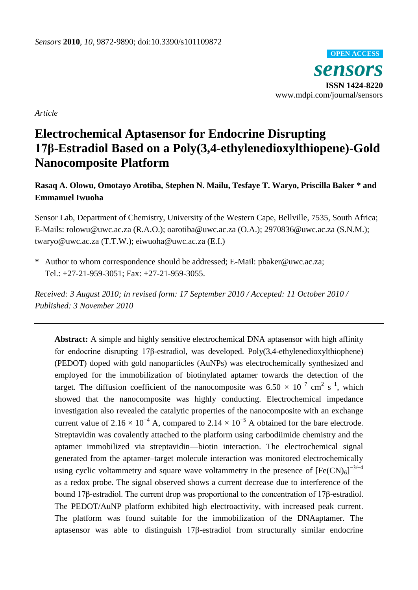

*Article*

# **Electrochemical Aptasensor for Endocrine Disrupting 17β-Estradiol Based on a Poly(3,4-ethylenedioxylthiopene)-Gold Nanocomposite Platform**

## **Rasaq A. Olowu, Omotayo Arotiba, Stephen N. Mailu, Tesfaye T. Waryo, Priscilla Baker \* and Emmanuel Iwuoha**

Sensor Lab, Department of Chemistry, University of the Western Cape, Bellville, 7535, South Africa; E-Mails: rolowu@uwc.ac.za (R.A.O.); oarotib[a@uwc.ac.za](mailto:@uwc.ac.za) (O.A.); [2970836@uwc.ac.za](mailto:2970836@uwc.ac.za) (S.N.M.); twaryo@uwc.ac.za (T.T.W.); eiwuoha@uwc.ac.za (E.I.)

\* Author to whom correspondence should be addressed; E-Mail: [pbaker@uwc.ac.za;](mailto:pbaker@uwc.ac.za) Tel.: +27-21-959-3051; Fax: +27-21-959-3055.

*Received: 3 August 2010; in revised form: 17 September 2010 / Accepted: 11 October 2010 / Published: 3 November 2010*

**Abstract:** A simple and highly sensitive electrochemical DNA aptasensor with high affinity for endocrine disrupting 17β-estradiol, was developed. Poly(3,4-ethylenedioxylthiophene) (PEDOT) doped with gold nanoparticles (AuNPs) was electrochemically synthesized and employed for the immobilization of biotinylated aptamer towards the detection of the target. The diffusion coefficient of the nanocomposite was  $6.50 \times 10^{-7}$  cm<sup>2</sup> s<sup>-1</sup>, which showed that the nanocomposite was highly conducting. Electrochemical impedance investigation also revealed the catalytic properties of the nanocomposite with an exchange current value of 2.16  $\times 10^{-4}$  A, compared to 2.14  $\times 10^{-5}$  A obtained for the bare electrode. Streptavidin was covalently attached to the platform using carbodiimide chemistry and the aptamer immobilized via streptavidin—biotin interaction. The electrochemical signal generated from the aptamer–target molecule interaction was monitored electrochemically using cyclic voltammetry and square wave voltammetry in the presence of  $[Fe(CN)<sub>6</sub>]<sup>-3/-4</sup>$ as a redox probe. The signal observed shows a current decrease due to interference of the bound 17β-estradiol. The current drop was proportional to the concentration of 17β-estradiol. The PEDOT/AuNP platform exhibited high electroactivity, with increased peak current. The platform was found suitable for the immobilization of the DNAaptamer. The aptasensor was able to distinguish 17β-estradiol from structurally similar endocrine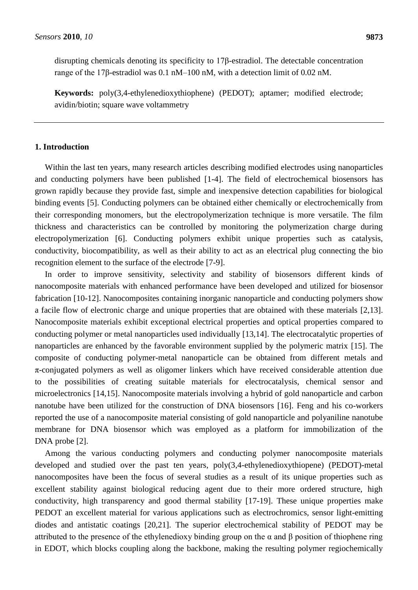disrupting chemicals denoting its specificity to 17β-estradiol. The detectable concentration range of the 17β-estradiol was 0.1 nM–100 nM, with a detection limit of 0.02 nM.

**Keywords:** poly(3,4-ethylenedioxythiophene) (PEDOT); aptamer; modified electrode; avidin/biotin; square wave voltammetry

## **1. Introduction**

Within the last ten years, many research articles describing modified electrodes using nanoparticles and conducting polymers have been published [1-4]. The field of electrochemical biosensors has grown rapidly because they provide fast, simple and inexpensive detection capabilities for biological binding events [5]. Conducting polymers can be obtained either chemically or electrochemically from their corresponding monomers, but the electropolymerization technique is more versatile. The film thickness and characteristics can be controlled by monitoring the polymerization charge during electropolymerization [6]. Conducting polymers exhibit unique properties such as catalysis, conductivity, biocompatibility, as well as their ability to act as an electrical plug connecting the bio recognition element to the surface of the electrode [7-9].

In order to improve sensitivity, selectivity and stability of biosensors different kinds of nanocomposite materials with enhanced performance have been developed and utilized for biosensor fabrication [10-12]. Nanocomposites containing inorganic nanoparticle and conducting polymers show a facile flow of electronic charge and unique properties that are obtained with these materials [2,13]. Nanocomposite materials exhibit exceptional electrical properties and optical properties compared to conducting polymer or metal nanoparticles used individually [13,14]. The electrocatalytic properties of nanoparticles are enhanced by the favorable environment supplied by the polymeric matrix [15]. The composite of conducting polymer-metal nanoparticle can be obtained from different metals and π-conjugated polymers as well as oligomer linkers which have received considerable attention due to the possibilities of creating suitable materials for electrocatalysis, chemical sensor and microelectronics [14,15]. Nanocomposite materials involving a hybrid of gold nanoparticle and carbon nanotube have been utilized for the construction of DNA biosensors [16]. Feng and his co-workers reported the use of a nanocomposite material consisting of gold nanoparticle and polyaniline nanotube membrane for DNA biosensor which was employed as a platform for immobilization of the DNA probe [2].

Among the various conducting polymers and conducting polymer nanocomposite materials developed and studied over the past ten years, poly(3,4-ethylenedioxythiopene) (PEDOT)-metal nanocomposites have been the focus of several studies as a result of its unique properties such as excellent stability against biological reducing agent due to their more ordered structure, high conductivity, high transparency and good thermal stability [17-19]. These unique properties make PEDOT an excellent material for various applications such as electrochromics, sensor light-emitting diodes and antistatic coatings [20,21]. The superior electrochemical stability of PEDOT may be attributed to the presence of the ethylenedioxy binding group on the  $\alpha$  and  $\beta$  position of thiophene ring in EDOT, which blocks coupling along the backbone, making the resulting polymer regiochemically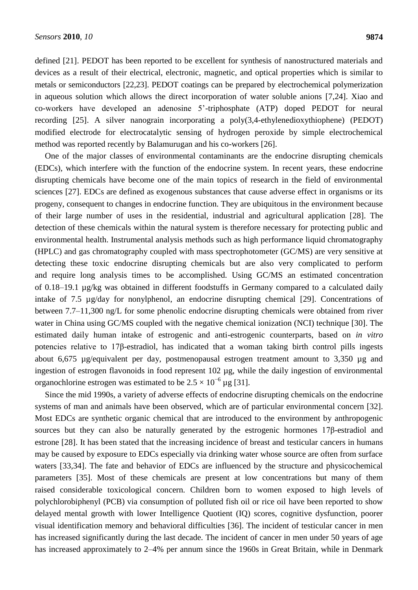defined [21]. PEDOT has been reported to be excellent for synthesis of nanostructured materials and devices as a result of their electrical, electronic, magnetic, and optical properties which is similar to metals or semiconductors [22,23]. PEDOT coatings can be prepared by electrochemical polymerization in aqueous solution which allows the direct incorporation of water soluble anions [7,24]. Xiao and co-workers have developed an adenosine 5'-triphosphate (ATP) doped PEDOT for neural recording [25]. A silver nanograin incorporating a poly(3,4-ethylenedioxythiophene) (PEDOT) modified electrode for electrocatalytic sensing of hydrogen peroxide by simple electrochemical method was reported recently by Balamurugan and his co-workers [26].

One of the major classes of environmental contaminants are the endocrine disrupting chemicals (EDCs), which interfere with the function of the endocrine system. In recent years, these endocrine disrupting chemicals have become one of the main topics of research in the field of environmental sciences [27]. EDCs are defined as exogenous substances that cause adverse effect in organisms or its progeny, consequent to changes in endocrine function. They are ubiquitous in the environment because of their large number of uses in the residential, industrial and agricultural application [28]. The detection of these chemicals within the natural system is therefore necessary for protecting public and environmental health. Instrumental analysis methods such as high performance liquid chromatography (HPLC) and gas chromatography coupled with mass spectrophotometer (GC/MS) are very sensitive at detecting these toxic endocrine disrupting chemicals but are also very complicated to perform and require long analysis times to be accomplished. Using GC/MS an estimated concentration of 0.18–19.1 µg/kg was obtained in different foodstuffs in Germany compared to a calculated daily intake of 7.5 µg/day for nonylphenol, an endocrine disrupting chemical [29]. Concentrations of between 7.7–11,300 ng/L for some phenolic endocrine disrupting chemicals were obtained from river water in China using GC/MS coupled with the negative chemical ionization (NCI) technique [30]. The estimated daily human intake of estrogenic and anti-estrogenic counterparts, based on *in vitro* potencies relative to 17β-estradiol, has indicated that a woman taking birth control pills ingests about 6,675 µg/equivalent per day, postmenopausal estrogen treatment amount to 3,350 µg and ingestion of estrogen flavonoids in food represent 102 µg, while the daily ingestion of environmental organochlorine estrogen was estimated to be  $2.5 \times 10^{-6}$  µg [31].

Since the mid 1990s, a variety of adverse effects of endocrine disrupting chemicals on the endocrine systems of man and animals have been observed, which are of particular environmental concern [32]. Most EDCs are synthetic organic chemical that are introduced to the environment by anthropogenic sources but they can also be naturally generated by the estrogenic hormones 17β-estradiol and estrone [28]. It has been stated that the increasing incidence of breast and testicular cancers in humans may be caused by exposure to EDCs especially via drinking water whose source are often from surface waters [33,34]. The fate and behavior of EDCs are influenced by the structure and physicochemical parameters [35]. Most of these chemicals are present at low concentrations but many of them raised considerable toxicological concern. Children born to women exposed to high levels of polychlorobiphenyl (PCB) via consumption of polluted fish oil or rice oil have been reported to show delayed mental growth with lower Intelligence Quotient (IQ) scores, cognitive dysfunction, poorer visual identification memory and behavioral difficulties [36]. The incident of testicular cancer in men has increased significantly during the last decade. The incident of cancer in men under 50 years of age has increased approximately to 2–4% per annum since the 1960s in Great Britain, while in Denmark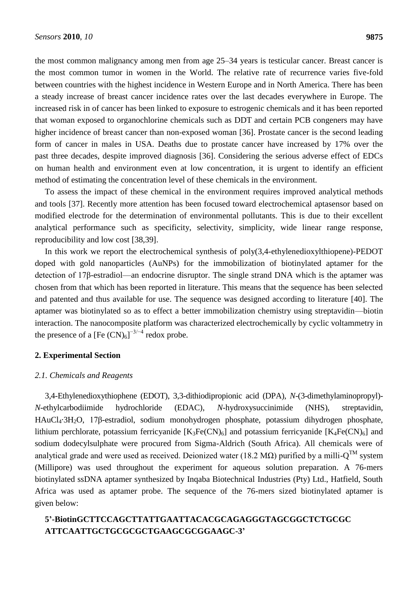the most common malignancy among men from age 25–34 years is testicular cancer. Breast cancer is the most common tumor in women in the World. The relative rate of recurrence varies five-fold between countries with the highest incidence in Western Europe and in North America. There has been a steady increase of breast cancer incidence rates over the last decades everywhere in Europe. The increased risk in of cancer has been linked to exposure to estrogenic chemicals and it has been reported that woman exposed to organochlorine chemicals such as DDT and certain PCB congeners may have higher incidence of breast cancer than non-exposed woman [36]. Prostate cancer is the second leading form of cancer in males in USA. Deaths due to prostate cancer have increased by 17% over the past three decades, despite improved diagnosis [36]. Considering the serious adverse effect of EDCs on human health and environment even at low concentration, it is urgent to identify an efficient method of estimating the concentration level of these chemicals in the environment.

To assess the impact of these chemical in the environment requires improved analytical methods and tools [37]. Recently more attention has been focused toward electrochemical aptasensor based on modified electrode for the determination of environmental pollutants. This is due to their excellent analytical performance such as specificity, selectivity, simplicity, wide linear range response, reproducibility and low cost [38,39].

In this work we report the electrochemical synthesis of poly(3,4-ethylenedioxylthiopene)-PEDOT doped with gold nanoparticles (AuNPs) for the immobilization of biotinylated aptamer for the detection of 17β-estradiol—an endocrine disruptor. The single strand DNA which is the aptamer was chosen from that which has been reported in literature. This means that the sequence has been selected and patented and thus available for use. The sequence was designed according to literature [40]. The aptamer was biotinylated so as to effect a better immobilization chemistry using streptavidin—biotin interaction. The nanocomposite platform was characterized electrochemically by cyclic voltammetry in the presence of a [Fe  $(CN)_6$ ]<sup>-3/-4</sup> redox probe.

#### **2. Experimental Section**

### *2.1. Chemicals and Reagents*

3,4-Ethylenedioxythiophene (EDOT), 3,3-dithiodipropionic acid (DPA), *N*-(3-dimethylaminopropyl)- *N*-ethylcarbodiimide hydrochloride (EDAC), *N*-hydroxysuccinimide (NHS), streptavidin, HAuCl<sub>4</sub> 3H<sub>2</sub>O, 17β-estradiol, sodium monohydrogen phosphate, potassium dihydrogen phosphate, lithium perchlorate, potassium ferricyanide  $[K_3Fe(CN)_6]$  and potassium ferricyanide  $[K_4Fe(CN)_6]$  and sodium dodecylsulphate were procured from Sigma-Aldrich (South Africa). All chemicals were of analytical grade and were used as received. Deionized water (18.2 M $\Omega$ ) purified by a milli- $Q^{TM}$  system (Millipore) was used throughout the experiment for aqueous solution preparation. A 76-mers biotinylated ssDNA aptamer synthesized by Inqaba Biotechnical Industries (Pty) Ltd., Hatfield, South Africa was used as aptamer probe. The sequence of the 76-mers sized biotinylated aptamer is given below:

## **5'-BiotinGCTTCCAGCTTATTGAATTACACGCAGAGGGTAGCGGCTCTGCGC ATTCAATTGCTGCGCGCTGAAGCGCGGAAGC-3'**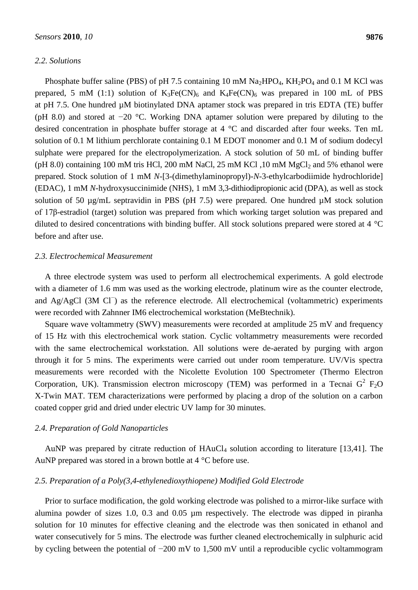#### *2.2. Solutions*

Phosphate buffer saline (PBS) of pH 7.5 containing 10 mM  $Na<sub>2</sub>HPO<sub>4</sub>$ , KH<sub>2</sub>PO<sub>4</sub> and 0.1 M KCl was prepared, 5 mM (1:1) solution of  $K_3Fe(CN)_6$  and  $K_4Fe(CN)_6$  was prepared in 100 mL of PBS at pH 7.5. One hundred µM biotinylated DNA aptamer stock was prepared in tris EDTA (TE) buffer (pH 8.0) and stored at −20 °C. Working DNA aptamer solution were prepared by diluting to the desired concentration in phosphate buffer storage at 4 °C and discarded after four weeks. Ten mL solution of 0.1 M lithium perchlorate containing 0.1 M EDOT monomer and 0.1 M of sodium dodecyl sulphate were prepared for the electropolymerization. A stock solution of 50 mL of binding buffer (pH 8.0) containing 100 mM tris HCl, 200 mM NaCl, 25 mM KCl, 10 mM  $MgCl<sub>2</sub>$  and 5% ethanol were prepared. Stock solution of 1 mM *N*-[3-(dimethylaminopropyl)-*N*-3-ethylcarbodiimide hydrochloride] (EDAC), 1 mM *N*-hydroxysuccinimide (NHS), 1 mM 3,3-dithiodipropionic acid (DPA), as well as stock solution of 50  $\mu$ g/mL septravidin in PBS (pH 7.5) were prepared. One hundred  $\mu$ M stock solution of 17β-estradiol (target) solution was prepared from which working target solution was prepared and diluted to desired concentrations with binding buffer. All stock solutions prepared were stored at 4  $\degree$ C before and after use.

#### *2.3. Electrochemical Measurement*

A three electrode system was used to perform all electrochemical experiments. A gold electrode with a diameter of 1.6 mm was used as the working electrode, platinum wire as the counter electrode, and Ag/AgCl (3M Cl<sup>-</sup>) as the reference electrode. All electrochemical (voltammetric) experiments were recorded with Zahnner IM6 electrochemical workstation (MeBtechnik).

Square wave voltammetry (SWV) measurements were recorded at amplitude 25 mV and frequency of 15 Hz with this electrochemical work station. Cyclic voltammetry measurements were recorded with the same electrochemical workstation. All solutions were de-aerated by purging with argon through it for 5 mins. The experiments were carried out under room temperature. UV/Vis spectra measurements were recorded with the Nicolette Evolution 100 Spectrometer (Thermo Electron Corporation, UK). Transmission electron microscopy (TEM) was performed in a Tecnai  $G^2$  F<sub>2</sub>O X-Twin MAT. TEM characterizations were performed by placing a drop of the solution on a carbon coated copper grid and dried under electric UV lamp for 30 minutes.

#### *2.4. Preparation of Gold Nanoparticles*

AuNP was prepared by citrate reduction of HAuCl<sub>4</sub> solution according to literature [13,41]. The AuNP prepared was stored in a brown bottle at  $4 \, \text{°C}$  before use.

## *2.5. Preparation of a Poly(3*,*4-ethylenedioxythiopene) Modified Gold Electrode*

Prior to surface modification, the gold working electrode was polished to a mirror-like surface with alumina powder of sizes 1.0, 0.3 and 0.05 µm respectively. The electrode was dipped in piranha solution for 10 minutes for effective cleaning and the electrode was then sonicated in ethanol and water consecutively for 5 mins. The electrode was further cleaned electrochemically in sulphuric acid by cycling between the potential of −200 mV to 1,500 mV until a reproducible cyclic voltammogram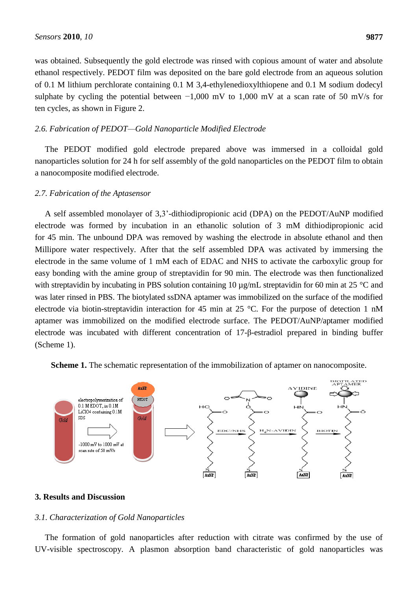was obtained. Subsequently the gold electrode was rinsed with copious amount of water and absolute ethanol respectively. PEDOT film was deposited on the bare gold electrode from an aqueous solution of 0.1 M lithium perchlorate containing 0.1 M 3,4-ethylenedioxylthiopene and 0.1 M sodium dodecyl sulphate by cycling the potential between −1,000 mV to 1,000 mV at a scan rate of 50 mV/s for ten cycles, as shown in Figure 2.

## *2.6. Fabrication of PEDOT—Gold Nanoparticle Modified Electrode*

The PEDOT modified gold electrode prepared above was immersed in a colloidal gold nanoparticles solution for 24 h for self assembly of the gold nanoparticles on the PEDOT film to obtain a nanocomposite modified electrode.

#### *2.7. Fabrication of the Aptasensor*

A self assembled monolayer of 3,3'-dithiodipropionic acid (DPA) on the PEDOT/AuNP modified electrode was formed by incubation in an ethanolic solution of 3 mM dithiodipropionic acid for 45 min. The unbound DPA was removed by washing the electrode in absolute ethanol and then Millipore water respectively. After that the self assembled DPA was activated by immersing the electrode in the same volume of 1 mM each of EDAC and NHS to activate the carboxylic group for easy bonding with the amine group of streptavidin for 90 min. The electrode was then functionalized with streptavidin by incubating in PBS solution containing 10  $\mu$ g/mL streptavidin for 60 min at 25 °C and was later rinsed in PBS. The biotylated ssDNA aptamer was immobilized on the surface of the modified electrode via biotin-streptavidin interaction for 45 min at 25 °C. For the purpose of detection 1 nM aptamer was immobilized on the modified electrode surface. The PEDOT/AuNP/aptamer modified electrode was incubated with different concentration of 17-β-estradiol prepared in binding buffer (Scheme 1).





## **3. Results and Discussion**

## *3.1. Characterization of Gold Nanoparticles*

The formation of gold nanoparticles after reduction with citrate was confirmed by the use of UV-visible spectroscopy. A plasmon absorption band characteristic of gold nanoparticles was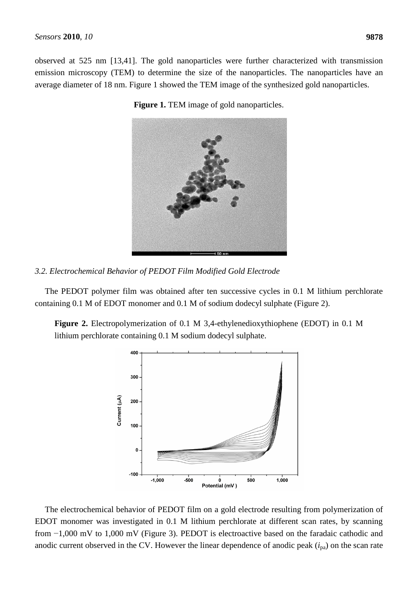observed at 525 nm [13,41]. The gold nanoparticles were further characterized with transmission emission microscopy (TEM) to determine the size of the nanoparticles. The nanoparticles have an average diameter of 18 nm. Figure 1 showed the TEM image of the synthesized gold nanoparticles.



**Figure 1.** TEM image of gold nanoparticles.

*3.2. Electrochemical Behavior of PEDOT Film Modified Gold Electrode*

The PEDOT polymer film was obtained after ten successive cycles in 0.1 M lithium perchlorate containing 0.1 M of EDOT monomer and 0.1 M of sodium dodecyl sulphate (Figure 2).

**Figure 2.** Electropolymerization of 0.1 M 3,4-ethylenedioxythiophene (EDOT) in 0.1 M lithium perchlorate containing 0.1 M sodium dodecyl sulphate.



The electrochemical behavior of PEDOT film on a gold electrode resulting from polymerization of EDOT monomer was investigated in 0.1 M lithium perchlorate at different scan rates, by scanning from −1,000 mV to 1,000 mV (Figure 3). PEDOT is electroactive based on the faradaic cathodic and anodic current observed in the CV. However the linear dependence of anodic peak  $(i_{pa})$  on the scan rate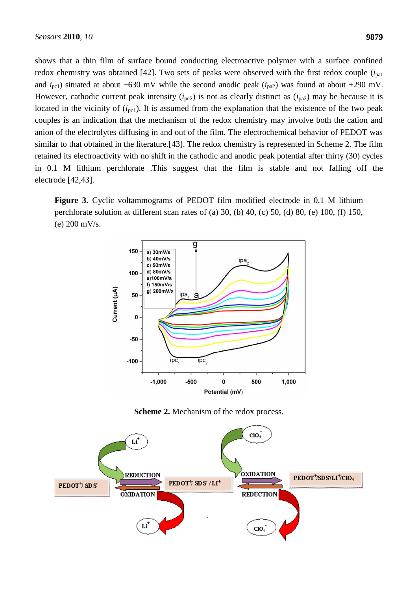shows that a thin film of surface bound conducting electroactive polymer with a surface confined

redox chemistry was obtained [42]. Two sets of peaks were observed with the first redox couple  $(i_{\text{pal}})$ and *i*pc1) situated at about −630 mV while the second anodic peak (*i*pa2) was found at about +290 mV. However, cathodic current peak intensity  $(i_{pc2})$  is not as clearly distinct as  $(i_{pa2})$  may be because it is located in the vicinity of  $(i_{pc1})$ . It is assumed from the explanation that the existence of the two peak couples is an indication that the mechanism of the redox chemistry may involve both the cation and anion of the electrolytes diffusing in and out of the film. The electrochemical behavior of PEDOT was similar to that obtained in the literature.[43]. The redox chemistry is represented in Scheme 2. The film retained its electroactivity with no shift in the cathodic and anodic peak potential after thirty (30) cycles in 0.1 M lithium perchlorate .This suggest that the film is stable and not falling off the electrode [42,43].

**Figure 3.** Cyclic voltammograms of PEDOT film modified electrode in 0.1 M lithium perchlorate solution at different scan rates of (a) 30, (b) 40, (c) 50, (d) 80, (e) 100, (f) 150, (e) 200 mV/s.



**Scheme 2.** Mechanism of the redox process.

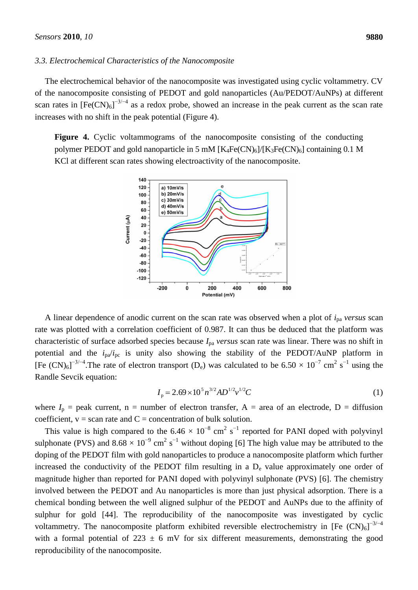#### *3.3. Electrochemical Characteristics of the Nanocomposite*

The electrochemical behavior of the nanocomposite was investigated using cyclic voltammetry. CV of the nanocomposite consisting of PEDOT and gold nanoparticles (Au/PEDOT/AuNPs) at different scan rates in  $[Fe(CN)_6]^{-3/4}$  as a redox probe, showed an increase in the peak current as the scan rate increases with no shift in the peak potential (Figure 4).

**Figure 4.** Cyclic voltammograms of the nanocomposite consisting of the conducting polymer PEDOT and gold nanoparticle in 5 mM  $[K_4Fe(CN)_6]/[K_3Fe(CN)_6]$  containing 0.1 M KCl at different scan rates showing electroactivity of the nanocomposite.



A linear dependence of anodic current on the scan rate was observed when a plot of  $i_{pa}$  *versus* scan rate was plotted with a correlation coefficient of 0.987. It can thus be deduced that the platform was characteristic of surface adsorbed species because *I*pa *versus* scan rate was linear. There was no shift in potential and the *i*pa/*i*pc is unity also showing the stability of the PEDOT/AuNP platform in [Fe  $(CN)_{6}$ ]<sup>-3/−4</sup>. The rate of electron transport (D<sub>e</sub>) was calculated to be 6.50  $\times 10^{-7}$  cm<sup>2</sup> s<sup>-1</sup> using the Randle Sevcik equation:

$$
I_{\rm p} = 2.69 \times 10^5 \, n^{3/2} A D^{1/2} v^{1/2} C \tag{1}
$$

where  $I_p$  = peak current, n = number of electron transfer, A = area of an electrode, D = diffusion coefficient,  $v = scan$  rate and  $C = concentration$  of bulk solution.

This value is high compared to the  $6.46 \times 10^{-8}$  cm<sup>2</sup> s<sup>-1</sup> reported for PANI doped with polyvinyl sulphonate (PVS) and  $8.68 \times 10^{-9}$  cm<sup>2</sup> s<sup>-1</sup> without doping [6] The high value may be attributed to the doping of the PEDOT film with gold nanoparticles to produce a nanocomposite platform which further increased the conductivity of the PEDOT film resulting in a  $D<sub>e</sub>$  value approximately one order of magnitude higher than reported for PANI doped with polyvinyl sulphonate (PVS) [6]. The chemistry involved between the PEDOT and Au nanoparticles is more than just physical adsorption. There is a chemical bonding between the well aligned sulphur of the PEDOT and AuNPs due to the affinity of sulphur for gold [44]. The reproducibility of the nanocomposite was investigated by cyclic voltammetry. The nanocomposite platform exhibited reversible electrochemistry in [Fe  $(CN)_{6}$ ]<sup>-3/-4</sup> with a formal potential of  $223 \pm 6$  mV for six different measurements, demonstrating the good reproducibility of the nanocomposite.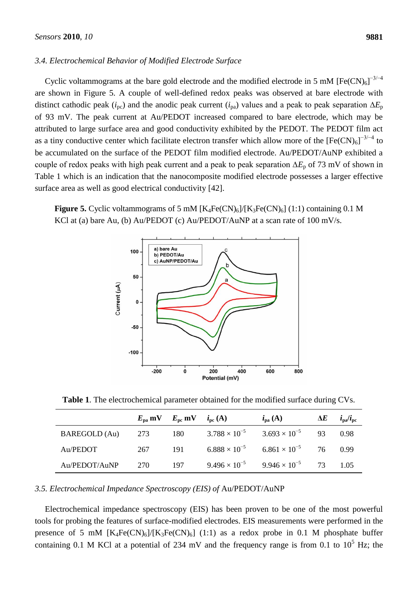#### *3.4. Electrochemical Behavior of Modified Electrode Surface*

Cyclic voltammograms at the bare gold electrode and the modified electrode in 5 mM  $[Fe(CN)<sub>6</sub>]<sup>-3/-4</sup>$ are shown in Figure 5. A couple of well-defined redox peaks was observed at bare electrode with distinct cathodic peak (*i*<sub>pc</sub>) and the anodic peak current (*i*<sub>pa</sub>) values and a peak to peak separation  $\Delta E_p$ of 93 mV. The peak current at Au/PEDOT increased compared to bare electrode, which may be attributed to large surface area and good conductivity exhibited by the PEDOT. The PEDOT film act as a tiny conductive center which facilitate electron transfer which allow more of the  $[Fe(CN)<sub>6</sub>]<sup>-3/-4</sup>$  to be accumulated on the surface of the PEDOT film modified electrode. Au/PEDOT/AuNP exhibited a couple of redox peaks with high peak current and a peak to peak separation ∆*E*<sub>p</sub> of 73 mV of shown in Table 1 which is an indication that the nanocomposite modified electrode possesses a larger effective surface area as well as good electrical conductivity [42].

**Figure 5.** Cyclic voltammograms of 5 mM  $[K_4Fe(CN)_6]/[K_3Fe(CN)_6]$  (1:1) containing 0.1 M KCl at (a) bare Au, (b) Au/PEDOT (c) Au/PEDOT/AuNP at a scan rate of 100 mV/s.



**Table 1**. The electrochemical parameter obtained for the modified surface during CVs.

|               |     | $E_{\text{pa}}$ mV $E_{\text{pc}}$ mV $i_{\text{pc}}$ (A) |                        | $i_{pa}(A)$                                           | $\Delta E$ | $i_{\rm pa}/i_{\rm pc}$ |
|---------------|-----|-----------------------------------------------------------|------------------------|-------------------------------------------------------|------------|-------------------------|
| BAREGOLD (Au) | 273 | 180                                                       |                        | $3.788 \times 10^{-5}$ $3.693 \times 10^{-5}$ 93 0.98 |            |                         |
| Au/PEDOT      | 267 | 191                                                       |                        | $6.888 \times 10^{-5}$ $6.861 \times 10^{-5}$ 76 0.99 |            |                         |
| Au/PEDOT/AuNP | 270 | 197                                                       | $9.496 \times 10^{-5}$ | $9.946 \times 10^{-5}$ 73 1.05                        |            |                         |

*3.5. Electrochemical Impedance Spectroscopy (EIS) of* Au/PEDOT/AuNP

Electrochemical impedance spectroscopy (EIS) has been proven to be one of the most powerful tools for probing the features of surface-modified electrodes. EIS measurements were performed in the presence of 5 mM  $[K_4Fe(CN)_6]/[K_3Fe(CN)_6]$  (1:1) as a redox probe in 0.1 M phosphate buffer containing 0.1 M KCl at a potential of 234 mV and the frequency range is from 0.1 to  $10^5$  Hz; the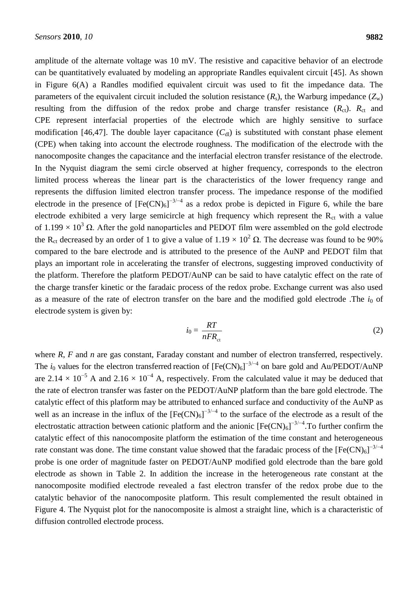amplitude of the alternate voltage was 10 mV. The resistive and capacitive behavior of an electrode can be quantitatively evaluated by modeling an appropriate Randles equivalent circuit [45]. As shown in Figure 6(A) a Randles modified equivalent circuit was used to fit the impedance data. The parameters of the equivalent circuit included the solution resistance  $(R_s)$ , the Warburg impedance  $(Z_w)$ resulting from the diffusion of the redox probe and charge transfer resistance  $(R<sub>ct</sub>)$ .  $R<sub>ct</sub>$  and CPE represent interfacial properties of the electrode which are highly sensitive to surface modification [46,47]. The double layer capacitance  $(C_{d})$  is substituted with constant phase element (CPE) when taking into account the electrode roughness. The modification of the electrode with the nanocomposite changes the capacitance and the interfacial electron transfer resistance of the electrode. In the Nyquist diagram the semi circle observed at higher frequency, corresponds to the electron limited process whereas the linear part is the characteristics of the lower frequency range and represents the diffusion limited electron transfer process. The impedance response of the modified electrode in the presence of  $[Fe(CN)_6]^{-3/-4}$  as a redox probe is depicted in Figure 6, while the bare electrode exhibited a very large semicircle at high frequency which represent the  $R<sub>ct</sub>$  with a value of 1.199  $\times$  10<sup>3</sup> Ω. After the gold nanoparticles and PEDOT film were assembled on the gold electrode the R<sub>ct</sub> decreased by an order of 1 to give a value of  $1.19 \times 10^2 \Omega$ . The decrease was found to be 90% compared to the bare electrode and is attributed to the presence of the AuNP and PEDOT film that plays an important role in accelerating the transfer of electrons, suggesting improved conductivity of the platform. Therefore the platform PEDOT/AuNP can be said to have catalytic effect on the rate of the charge transfer kinetic or the faradaic process of the redox probe. Exchange current was also used as a measure of the rate of electron transfer on the bare and the modified gold electrode. The  $i_0$  of electrode system is given by:

$$
i_0 = \frac{RT}{nFR_{\rm ct}}\tag{2}
$$

where *R*, *F* and *n* are gas constant, Faraday constant and number of electron transferred, respectively. The  $i_0$  values for the electron transferred reaction of  $[Fe(CN)_6]^{-3/4}$  on bare gold and Au/PEDOT/AuNP are 2.14  $\times$  10<sup>-5</sup> A and 2.16  $\times$  10<sup>-4</sup> A, respectively. From the calculated value it may be deduced that the rate of electron transfer was faster on the PEDOT/AuNP platform than the bare gold electrode. The catalytic effect of this platform may be attributed to enhanced surface and conductivity of the AuNP as well as an increase in the influx of the  $[Fe(CN)_6]^{-3/-4}$  to the surface of the electrode as a result of the electrostatic attraction between cationic platform and the anionic  $[Fe(CN)<sub>6</sub>]<sup>-3/-4</sup>$ . To further confirm the catalytic effect of this nanocomposite platform the estimation of the time constant and heterogeneous rate constant was done. The time constant value showed that the faradaic process of the  $[Fe(CN)<sub>6</sub>]<sup>-3/-4</sup>$ probe is one order of magnitude faster on PEDOT/AuNP modified gold electrode than the bare gold electrode as shown in Table 2. In addition the increase in the heterogeneous rate constant at the nanocomposite modified electrode revealed a fast electron transfer of the redox probe due to the catalytic behavior of the nanocomposite platform. This result complemented the result obtained in Figure 4. The Nyquist plot for the nanocomposite is almost a straight line, which is a characteristic of diffusion controlled electrode process.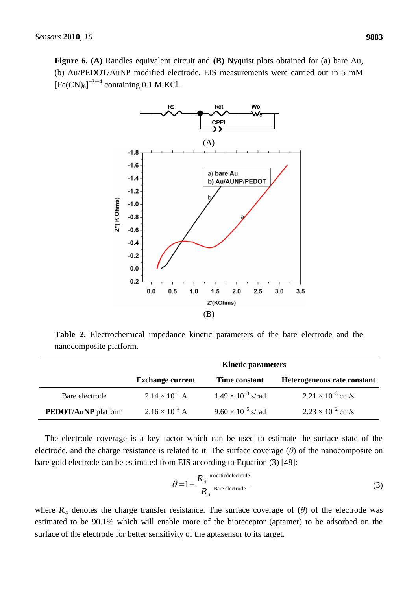**Figure 6. (A)** Randles equivalent circuit and **(B)** Nyquist plots obtained for (a) bare Au, (b) Au/PEDOT/AuNP modified electrode. EIS measurements were carried out in 5 mM  $[Fe(CN)<sub>6</sub>]<sup>-3/-4</sup> containing 0.1 M KCl.$ 



**Table 2.** Electrochemical impedance kinetic parameters of the bare electrode and the nanocomposite platform.

|                            | <b>Kinetic parameters</b> |                             |                             |  |  |
|----------------------------|---------------------------|-----------------------------|-----------------------------|--|--|
|                            | <b>Exchange current</b>   | Time constant               | Heterogeneous rate constant |  |  |
| Bare electrode             | $2.14 \times 10^{-5}$ A   | $1.49 \times 10^{-3}$ s/rad | $2.21 \times 10^{-3}$ cm/s  |  |  |
| <b>PEDOT/AuNP</b> platform | $2.16 \times 10^{-4}$ A   | $9.60 \times 10^{-5}$ s/rad | $2.23 \times 10^{-2}$ cm/s  |  |  |

The electrode coverage is a key factor which can be used to estimate the surface state of the electrode, and the charge resistance is related to it. The surface coverage (*θ*) of the nanocomposite on bare gold electrode can be estimated from EIS according to Equation (3) [48]:

$$
\theta = 1 - \frac{R_{\text{ct}}^{\text{modified electrode}}}{R_{\text{ct}}^{\text{Bare electrode}}} \tag{3}
$$

where  $R_{\rm ct}$  denotes the charge transfer resistance. The surface coverage of ( $\theta$ ) of the electrode was estimated to be 90.1% which will enable more of the bioreceptor (aptamer) to be adsorbed on the surface of the electrode for better sensitivity of the aptasensor to its target.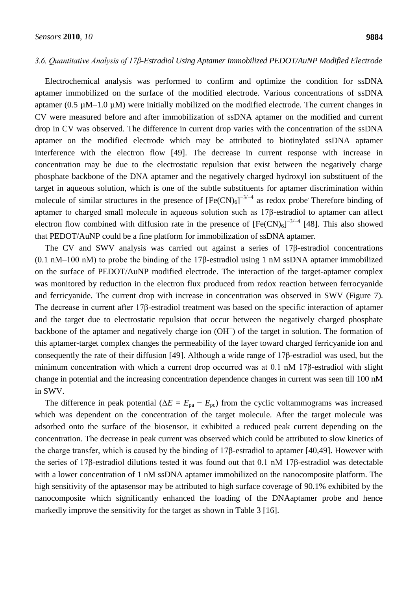## *3.6. Quantitative Analysis of 17β-Estradiol Using Aptamer Immobilized PEDOT/AuNP Modified Electrode*

Electrochemical analysis was performed to confirm and optimize the condition for ssDNA aptamer immobilized on the surface of the modified electrode. Various concentrations of ssDNA aptamer (0.5 µM–1.0 µM) were initially mobilized on the modified electrode. The current changes in CV were measured before and after immobilization of ssDNA aptamer on the modified and current drop in CV was observed. The difference in current drop varies with the concentration of the ssDNA aptamer on the modified electrode which may be attributed to biotinylated ssDNA aptamer interference with the electron flow [49]. The decrease in current response with increase in concentration may be due to the electrostatic repulsion that exist between the negatively charge phosphate backbone of the DNA aptamer and the negatively charged hydroxyl ion substituent of the target in aqueous solution, which is one of the subtle substituents for aptamer discrimination within molecule of similar structures in the presence of  $[Fe(CN)_6]^{-3/4}$  as redox probe Therefore binding of aptamer to charged small molecule in aqueous solution such as 17β-estradiol to aptamer can affect electron flow combined with diffusion rate in the presence of  $[Fe(CN)<sub>6</sub>]^{-3/4}$  [48]. This also showed that PEDOT/AuNP could be a fine platform for immobilization of ssDNA aptamer.

The CV and SWV analysis was carried out against a series of 17β-estradiol concentrations (0.1 nM–100 nM) to probe the binding of the 17β-estradiol using 1 nM ssDNA aptamer immobilized on the surface of PEDOT/AuNP modified electrode. The interaction of the target-aptamer complex was monitored by reduction in the electron flux produced from redox reaction between ferrocyanide and ferricyanide. The current drop with increase in concentration was observed in SWV (Figure 7). The decrease in current after 17β-estradiol treatment was based on the specific interaction of aptamer and the target due to electrostatic repulsion that occur between the negatively charged phosphate backbone of the aptamer and negatively charge ion (OH<sup>−</sup> ) of the target in solution. The formation of this aptamer-target complex changes the permeability of the layer toward charged ferricyanide ion and consequently the rate of their diffusion [49]. Although a wide range of 17β-estradiol was used, but the minimum concentration with which a current drop occurred was at 0.1 nM 17β-estradiol with slight change in potential and the increasing concentration dependence changes in current was seen till 100 nM in SWV.

The difference in peak potential ( $\Delta E = E_{pa} - E_{pc}$ ) from the cyclic voltammograms was increased which was dependent on the concentration of the target molecule. After the target molecule was adsorbed onto the surface of the biosensor, it exhibited a reduced peak current depending on the concentration. The decrease in peak current was observed which could be attributed to slow kinetics of the charge transfer, which is caused by the binding of 17β-estradiol to aptamer [40,49]. However with the series of 17β-estradiol dilutions tested it was found out that 0.1 nM 17β-estradiol was detectable with a lower concentration of 1 nM ssDNA aptamer immobilized on the nanocomposite platform. The high sensitivity of the aptasensor may be attributed to high surface coverage of 90.1% exhibited by the nanocomposite which significantly enhanced the loading of the DNAaptamer probe and hence markedly improve the sensitivity for the target as shown in Table 3 [16].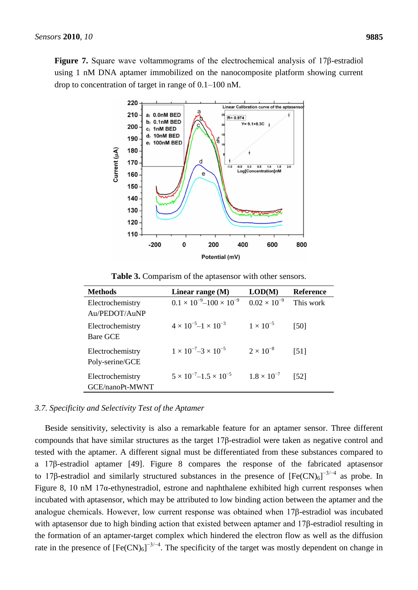**Figure 7.** Square wave voltammograms of the electrochemical analysis of 17β-estradiol using 1 nM DNA aptamer immobilized on the nanocomposite platform showing current drop to concentration of target in range of 0.1–100 nM.



**Table 3.** Comparism of the aptasensor with other sensors.

| <b>Methods</b>                      | Linear range (M)                          | LOD(M)                | <b>Reference</b> |
|-------------------------------------|-------------------------------------------|-----------------------|------------------|
| Electrochemistry<br>Au/PEDOT/AuNP   | $0.1 \times 10^{-9} - 100 \times 10^{-9}$ | $0.02 \times 10^{-9}$ | This work        |
| Electrochemistry<br>Bare GCE        | $4 \times 10^{-5} - 1 \times 10^{-3}$     | $1 \times 10^{-5}$    | [50]             |
| Electrochemistry<br>Poly-serine/GCE | $1 \times 10^{-7} - 3 \times 10^{-5}$     | $2 \times 10^{-8}$    | [51]             |
| Electrochemistry<br>GCE/nanoPt-MWNT | $5 \times 10^{-7}$ -1.5 $\times 10^{-5}$  | $1.8 \times 10^{-7}$  | [52]             |

## *3.7. Specificity and Selectivity Test of the Aptamer*

Beside sensitivity, selectivity is also a remarkable feature for an aptamer sensor. Three different compounds that have similar structures as the target 17β-estradiol were taken as negative control and tested with the aptamer. A different signal must be differentiated from these substances compared to a 17β-estradiol aptamer [49]. Figure 8 compares the response of the fabricated aptasensor to 17 $\beta$ -estradiol and similarly structured substances in the presence of  $[Fe(CN)<sub>6</sub>]<sup>-3/-4</sup>$  as probe. In Figure 8, 10 nM 17α-ethynestradiol, estrone and naphthalene exhibited high current responses when incubated with aptasensor, which may be attributed to low binding action between the aptamer and the analogue chemicals. However, low current response was obtained when 17β-estradiol was incubated with aptasensor due to high binding action that existed between aptamer and 17β-estradiol resulting in the formation of an aptamer-target complex which hindered the electron flow as well as the diffusion rate in the presence of  $[Fe(CN)_6]^{-3/4}$ . The specificity of the target was mostly dependent on change in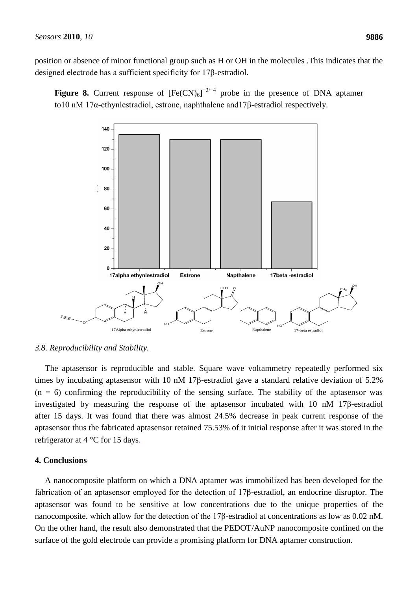position or absence of minor functional group such as H or OH in the molecules .This indicates that the designed electrode has a sufficient specificity for 17β-estradiol.







The aptasensor is reproducible and stable. Square wave voltammetry repeatedly performed six times by incubating aptasensor with 10 nM 17β-estradiol gave a standard relative deviation of 5.2%  $(n = 6)$  confirming the reproducibility of the sensing surface. The stability of the aptasensor was investigated by measuring the response of the aptasensor incubated with 10 nM 17β-estradiol after 15 days. It was found that there was almost 24.5% decrease in peak current response of the aptasensor thus the fabricated aptasensor retained 75.53% of it initial response after it was stored in the refrigerator at 4  $\degree$ C for 15 days.

#### **4. Conclusions**

A nanocomposite platform on which a DNA aptamer was immobilized has been developed for the fabrication of an aptasensor employed for the detection of 17β-estradiol, an endocrine disruptor. The aptasensor was found to be sensitive at low concentrations due to the unique properties of the nanocomposite. which allow for the detection of the 17β-estradiol at concentrations as low as 0.02 nM. On the other hand, the result also demonstrated that the PEDOT/AuNP nanocomposite confined on the surface of the gold electrode can provide a promising platform for DNA aptamer construction.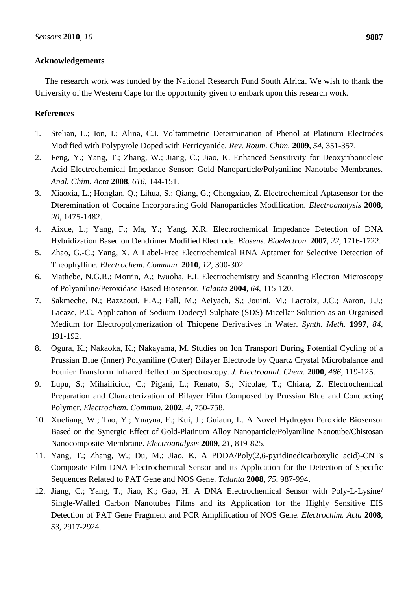## **Acknowledgements**

The research work was funded by the National Research Fund South Africa. We wish to thank the University of the Western Cape for the opportunity given to embark upon this research work.

## **References**

- 1. Stelian, L.; Ion, I.; Alina, C.I. Voltammetric Determination of Phenol at Platinum Electrodes Modified with Polypyrole Doped with Ferricyanide. *Rev. Roum. Chim.* **2009**, *54*, 351-357.
- 2. Feng, Y.; Yang, T.; Zhang, W.; Jiang, C.; Jiao, K. Enhanced Sensitivity for Deoxyribonucleic Acid Electrochemical Impedance Sensor: Gold Nanoparticle/Polyaniline Nanotube Membranes. *Anal. Chim. Acta* **2008**, *616*, 144-151.
- 3. Xiaoxia, L.; Honglan, Q.; Lihua, S.; Qiang, G.; Chengxiao, Z. Electrochemical Aptasensor for the Dteremination of Cocaine Incorporating Gold Nanoparticles Modification. *Electroanalysis* **2008**, *20*, 1475-1482.
- 4. Aixue, L.; Yang, F.; Ma, Y.; Yang, X.R. Electrochemical Impedance Detection of DNA Hybridization Based on Dendrimer Modified Electrode. *Biosens. Bioelectron.* **2007**, *22*, 1716-1722.
- 5. Zhao, G.-C.; Yang, X. A Label-Free Electrochemical RNA Aptamer for Selective Detection of Theophylline. *Electrochem. Commun.* **2010**, *12*, 300-302.
- 6. Mathebe, N.G.R.; Morrin, A.; Iwuoha, E.I. Electrochemistry and Scanning Electron Microscopy of Polyaniline/Peroxidase-Based Biosensor. *Talanta* **2004**, *64*, 115-120.
- 7. Sakmeche, N.; Bazzaoui, E.A.; Fall, M.; Aeiyach, S.; Jouini, M.; Lacroix, J.C.; Aaron, J.J.; Lacaze, P.C. Application of Sodium Dodecyl Sulphate (SDS) Micellar Solution as an Organised Medium for Electropolymerization of Thiopene Derivatives in Water. *Synth. Meth.* **1997**, *84*, 191-192.
- 8. Ogura, K.; Nakaoka, K.; Nakayama, M. Studies on Ion Transport During Potential Cycling of a Prussian Blue (Inner) Polyaniline (Outer) Bilayer Electrode by Quartz Crystal Microbalance and Fourier Transform Infrared Reflection Spectroscopy. *J. Electroanal. Chem.* **2000**, *486*, 119-125.
- 9. Lupu, S.; Mihailiciuc, C.; Pigani, L.; Renato, S.; Nicolae, T.; Chiara, Z. Electrochemical Preparation and Characterization of Bilayer Film Composed by Prussian Blue and Conducting Polymer. *Electrochem. Commun.* **2002**, *4*, 750-758.
- 10. Xueliang, W.; Tao, Y.; Yuayua, F.; Kui, J.; Guiaun, L. A Novel Hydrogen Peroxide Biosensor Based on the Synergic Effect of Gold-Platinum Alloy Nanoparticle/Polyaniline Nanotube/Chistosan Nanocomposite Membrane. *Electroanalysis* **2009**, *21*, 819-825.
- 11. Yang, T.; Zhang, W.; Du, M.; Jiao, K. A PDDA/Poly(2,6-pyridinedicarboxylic acid)-CNTs Composite Film DNA Electrochemical Sensor and its Application for the Detection of Specific Sequences Related to PAT Gene and NOS Gene. *Talanta* **2008**, *75*, 987-994.
- 12. Jiang, C.; Yang, T.; Jiao, K.; Gao, H. A DNA Electrochemical Sensor with Poly-L-Lysine/ Single-Walled Carbon Nanotubes Films and its Application for the Highly Sensitive EIS Detection of PAT Gene Fragment and PCR Amplification of NOS Gene. *Electrochim. Acta* **2008**, *53*, 2917-2924.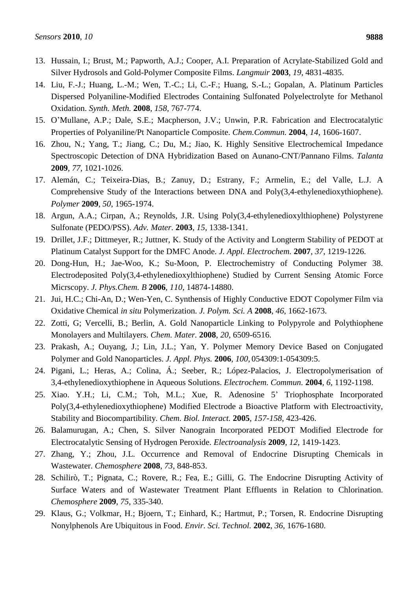- 13. Hussain, I.; Brust, M.; Papworth, A.J.; Cooper, A.I. Preparation of Acrylate-Stabilized Gold and Silver Hydrosols and Gold-Polymer Composite Films. *Langmuir* **2003**, *19*, 4831-4835.
- 14. Liu, F.-J.; Huang, L.-M.; Wen, T.-C.; Li, C.-F.; Huang, S.-L.; Gopalan, A. Platinum Particles Dispersed Polyaniline-Modified Electrodes Containing Sulfonated Polyelectrolyte for Methanol Oxidation. *Synth. Meth.* **2008**, *158*, 767-774.
- 15. O'Mullane, A.P.; Dale, S.E.; Macpherson, J.V.; Unwin, P.R. Fabrication and Electrocatalytic Properties of Polyaniline/Pt Nanoparticle Composite. *Chem.Commun.* **2004**, *14*, 1606-1607.
- 16. Zhou, N.; Yang, T.; Jiang, C.; Du, M.; Jiao, K. Highly Sensitive Electrochemical Impedance Spectroscopic Detection of DNA Hybridization Based on Aunano-CNT/Pannano Films. *Talanta*  **2009**, *77*, 1021-1026.
- 17. Alemán, C.; Teixeira-Dias, B.; Zanuy, D.; Estrany, F.; Armelin, E.; del Valle, L.J. A Comprehensive Study of the Interactions between DNA and Poly(3,4-ethylenedioxythiophene). *Polymer* **2009**, *50*, 1965-1974.
- 18. Argun, A.A.; Cirpan, A.; Reynolds, J.R. Using Poly(3,4-ethylenedioxylthiophene) Polystyrene Sulfonate (PEDO/PSS). *Adv. Mater.* **2003**, *15*, 1338-1341.
- 19. Drillet, J.F.; Dittmeyer, R.; Juttner, K. Study of the Activity and Longterm Stability of PEDOT at Platinum Catalyst Support for the DMFC Anode. *J. Appl. Electrochem.* **2007**, *37*, 1219-1226.
- 20. Dong-Hun, H.; Jae-Woo, K.; Su-Moon, P. Electrochemistry of Conducting Polymer 38. Electrodeposited Poly(3,4-ethylenedioxylthiophene) Studied by Current Sensing Atomic Force Micrscopy. *J. Phys.Chem. B* **2006**, *110*, 14874-14880.
- 21. Jui, H.C.; Chi-An, D.; Wen-Yen, C. Synthensis of Highly Conductive EDOT Copolymer Film via Oxidative Chemical *in situ* Polymerization. *J. Polym. Sci. A* **2008**, *46*, 1662-1673.
- 22. Zotti, G; Vercelli, B.; Berlin, A. Gold Nanoparticle Linking to Polypyrole and Polythiophene Monolayers and Multilayers. *Chem. Mater.* **2008**, *20*, 6509-6516.
- 23. Prakash, A.; Ouyang, J.; Lin, J.L.; Yan, Y. Polymer Memory Device Based on Conjugated Polymer and Gold Nanoparticles. *J. Appl. Phys.* **2006**, *100*, 054309:1-054309:5.
- 24. Pigani, L.; Heras, A.; Colina, Á.; Seeber, R.; López-Palacios, J. Electropolymerisation of 3,4-ethylenedioxythiophene in Aqueous Solutions. *Electrochem. Commun.* **2004**, *6*, 1192-1198.
- 25. Xiao. Y.H.; Li, C.M.; Toh, M.L.; Xue, R. Adenosine 5' Triophosphate Incorporated Poly(3,4-ethylenedioxythiophene) Modified Electrode a Bioactive Platform with Electroactivity, Stability and Biocompartibility. *Chem. Biol. Interact.* **2005**, *157-158*, 423-426.
- 26. Balamurugan, A.; Chen, S. Silver Nanograin Incorporated PEDOT Modified Electrode for Electrocatalytic Sensing of Hydrogen Peroxide. *Electroanalysis* **2009**, *12*, 1419-1423.
- 27. Zhang, Y.; Zhou, J.L. Occurrence and Removal of Endocrine Disrupting Chemicals in Wastewater. *Chemosphere* **2008**, *73*, 848-853.
- 28. Schilirò, T.; Pignata, C.; Rovere, R.; Fea, E.; Gilli, G. The Endocrine Disrupting Activity of Surface Waters and of Wastewater Treatment Plant Effluents in Relation to Chlorination. *Chemosphere* **2009**, *75*, 335-340.
- 29. Klaus, G.; Volkmar, H.; Bjoern, T.; Einhard, K.; Hartmut, P.; Torsen, R. Endocrine Disrupting Nonylphenols Are Ubiquitous in Food. *Envir. Sci. Technol.* **2002**, *36*, 1676-1680.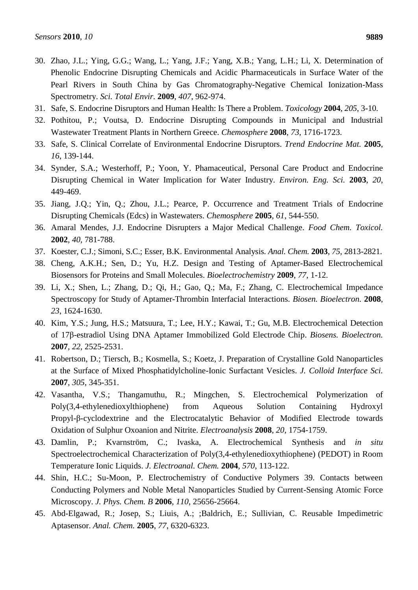- 30. Zhao, J.L.; Ying, G.G.; Wang, L.; Yang, J.F.; Yang, X.B.; Yang, L.H.; Li, X. Determination of Phenolic Endocrine Disrupting Chemicals and Acidic Pharmaceuticals in Surface Water of the Pearl Rivers in South China by Gas Chromatography-Negative Chemical Ionization-Mass Spectrometry. *Sci. Total Envir.* **2009**, *407*, 962-974.
- 31. Safe, S. Endocrine Disruptors and Human Health: Is There a Problem. *Toxicology* **2004**, *205*, 3-10.
- 32. Pothitou, P.; Voutsa, D. Endocrine Disrupting Compounds in Municipal and Industrial Wastewater Treatment Plants in Northern Greece. *Chemosphere* **2008**, *73*, 1716-1723.
- 33. Safe, S. Clinical Correlate of Environmental Endocrine Disruptors. *Trend Endocrine Mat.* **2005**, *16*, 139-144.
- 34. Synder, S.A.; Westerhoff, P.; Yoon, Y. Phamaceutical, Personal Care Product and Endocrine Disrupting Chemical in Water Implication for Water Industry. *Environ. Eng. Sci.* **2003**, *20*, 449-469.
- 35. Jiang, J.Q.; Yin, Q.; Zhou, J.L.; Pearce, P. Occurrence and Treatment Trials of Endocrine Disrupting Chemicals (Edcs) in Wastewaters. *Chemosphere* **2005**, *61*, 544-550.
- 36. Amaral Mendes, J.J. Endocrine Disrupters a Major Medical Challenge. *Food Chem. Toxicol.* **2002**, *40*, 781-788.
- 37. Koester, C.J.; Simoni, S.C.; Esser, B.K. Environmental Analysis. *Anal. Chem.* **2003**, *75*, 2813-2821.
- 38. Cheng, A.K.H.; Sen, D.; Yu, H.Z. Design and Testing of Aptamer-Based Electrochemical Biosensors for Proteins and Small Molecules. *Bioelectrochemistry* **2009**, *77*, 1-12.
- 39. Li, X.; Shen, L.; Zhang, D.; Qi, H.; Gao, Q.; Ma, F.; Zhang, C. Electrochemical Impedance Spectroscopy for Study of Aptamer-Thrombin Interfacial Interactions. *Biosen. Bioelectron.* **2008**, *23*, 1624-1630.
- 40. Kim, Y.S.; Jung, H.S.; Matsuura, T.; Lee, H.Y.; Kawai, T.; Gu, M.B. Electrochemical Detection of 17β-estradiol Using DNA Aptamer Immobilized Gold Electrode Chip. *Biosens. Bioelectron.* **2007**, *22*, 2525-2531.
- 41. Robertson, D.; Tiersch, B.; Kosmella, S.; Koetz, J. Preparation of Crystalline Gold Nanoparticles at the Surface of Mixed Phosphatidylcholine-Ionic Surfactant Vesicles. *J. Colloid Interface Sci.* **2007**, *305*, 345-351.
- 42. Vasantha, V.S.; Thangamuthu, R.; Mingchen, S. Electrochemical Polymerization of Poly(3,4-ethylenedioxylthiophene) from Aqueous Solution Containing Hydroxyl Propyl-β-cyclodextrine and the Electrocatalytic Behavior of Modified Electrode towards Oxidation of Sulphur Oxoanion and Nitrite. *Electroanalysis* **2008**, *20*, 1754-1759.
- 43. Damlin, P.; Kvarnström, C.; Ivaska, A. Electrochemical Synthesis and *in situ* Spectroelectrochemical Characterization of Poly(3,4-ethylenedioxythiophene) (PEDOT) in Room Temperature Ionic Liquids. *J. Electroanal. Chem.* **2004**, *570*, 113-122.
- 44. Shin, H.C.; Su-Moon, P. Electrochemistry of Conductive Polymers 39. Contacts between Conducting Polymers and Noble Metal Nanoparticles Studied by Current-Sensing Atomic Force Microscopy. *J. Phys. Chem. B* **2006**, *110*, 25656-25664.
- 45. Abd-Elgawad, R.; Josep, S.; Liuis, A.; ;Baldrich, E.; Sullivian, C. Reusable Impedimetric Aptasensor. *Anal. Chem.* **2005**, *77*, 6320-6323.